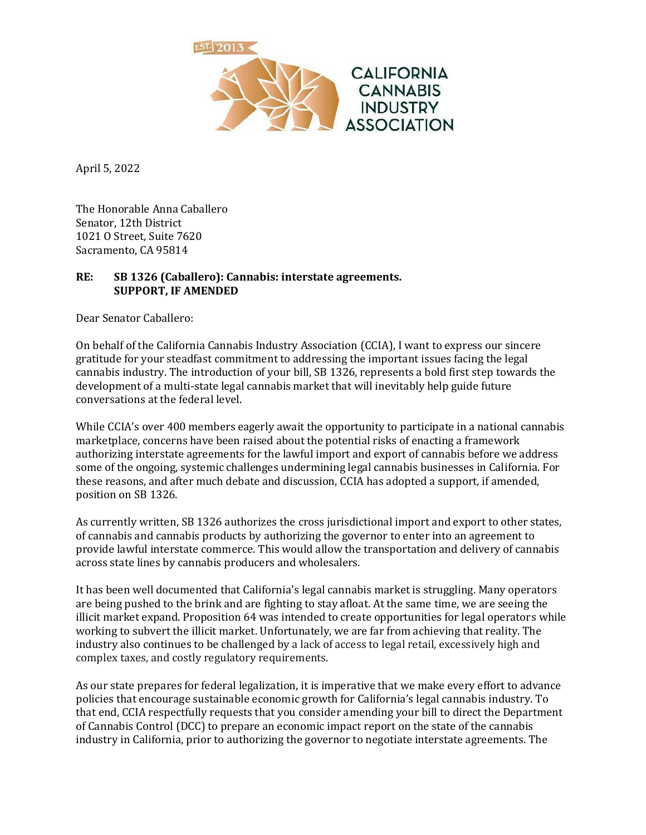

April 5, 2022

The Honorable Anna Caballero Senator, 12th District 1021 O Street, Suite 7620 Sacramento, CA 95814

## **RE: SB 1326 (Caballero): Cannabis: interstate agreements. SUPPORT, IF AMENDED**

Dear Senator Caballero:

On behalf of the California Cannabis Industry Association (CCIA), I want to express our sincere gratitude for your steadfast commitment to addressing the important issues facing the legal cannabis industry. The introduction of your bill, SB 1326, represents a bold first step towards the development of a multi-state legal cannabis market that will inevitably help guide future conversations at the federal level.

While CCIA's over 400 members eagerly await the opportunity to participate in a national cannabis marketplace, concerns have been raised about the potential risks of enacting a framework authorizing interstate agreements for the lawful import and export of cannabis before we address some of the ongoing, systemic challenges undermining legal cannabis businesses in California. For these reasons, and after much debate and discussion, CCIA has adopted a support, if amended, position on SB 1326.

As currently written, SB 1326 authorizes the cross jurisdictional import and export to other states, of cannabis and cannabis products by authorizing the governor to enter into an agreement to provide lawful interstate commerce. This would allow the transportation and delivery of cannabis across state lines by cannabis producers and wholesalers.

It has been well documented that California's legal cannabis market is struggling. Many operators are being pushed to the brink and are fighting to stay afloat. At the same time, we are seeing the illicit market expand. Proposition 64 was intended to create opportunities for legal operators while working to subvert the illicit market. Unfortunately, we are far from achieving that reality. The industry also continues to be challenged by a lack of access to legal retail, excessively high and complex taxes, and costly regulatory requirements.

As our state prepares for federal legalization, it is imperative that we make every effort to advance policies that encourage sustainable economic growth for California's legal cannabis industry. To that end, CCIA respectfully requests that you consider amending your bill to direct the Department of Cannabis Control (DCC) to prepare an economic impact report on the state of the cannabis industry in California, prior to authorizing the governor to negotiate interstate agreements. The